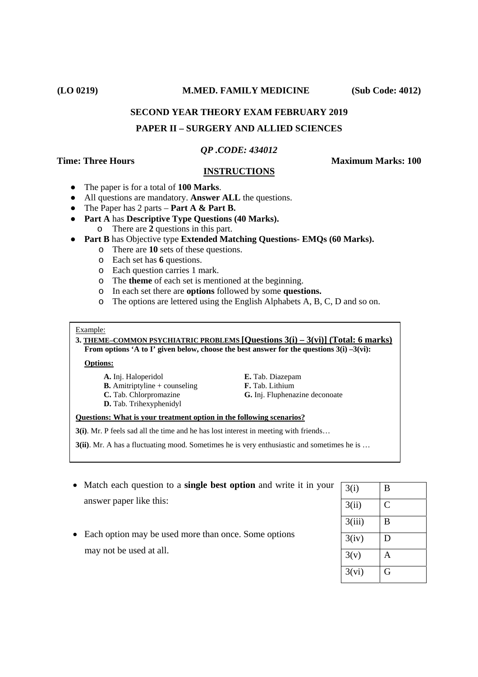#### **(LO 0219) M.MED. FAMILY MEDICINE (Sub Code: 4012)**

# **SECOND YEAR THEORY EXAM FEBRUARY 2019 PAPER II – SURGERY AND ALLIED SCIENCES**

#### *QP .CODE: 434012*

**Time: Three Hours Maximum Marks: 100** 

## **INSTRUCTIONS**

- The paper is for a total of **100 Marks**.
- All questions are mandatory. **Answer ALL** the questions.
- The Paper has 2 parts **Part A & Part B.**
- **Part A** has **Descriptive Type Questions (40 Marks).**
	- o There are **2** questions in this part.
- **Part B** has Objective type **Extended Matching Questions- EMQs (60 Marks).**
	- o There are **10** sets of these questions.
	- o Each set has **6** questions.
	- o Each question carries 1 mark.
	- o The **theme** of each set is mentioned at the beginning.
	- o In each set there are **options** followed by some **questions.**
	- o The options are lettered using the English Alphabets A, B, C, D and so on.

#### Example:

**3. THEME–COMMON PSYCHIATRIC PROBLEMS [Questions 3(i) – 3(vi)] (Total: 6 marks) From options 'A to I' given below, choose the best answer for the questions 3(i) –3(vi):** 

#### **Options:**

- **A.** Inj. Haloperidol **E.** Tab. Diazepam **B.** Amitriptyline + counseling **F.** Tab. Lithium
- **D.** Tab. Trihexyphenidyl
- 
- 
- **C.** Tab. Chlorpromazine **G.** Inj. Fluphenazine deconoate

#### **Questions: What is your treatment option in the following scenarios?**

**3(i)**. Mr. P feels sad all the time and he has lost interest in meeting with friends…

- **3(ii)**. Mr. A has a fluctuating mood. Sometimes he is very enthusiastic and sometimes he is ...
- Match each question to a **single best option** and write it in your answer paper like this:
- Each option may be used more than once. Some options may not be used at all.

| 3(i)   | B                  |
|--------|--------------------|
| 3(ii)  | $\overline{\rm C}$ |
| 3(iii) | B                  |
| 3(iv)  | D                  |
| 3(v)   | A                  |
| 3(vi)  | G                  |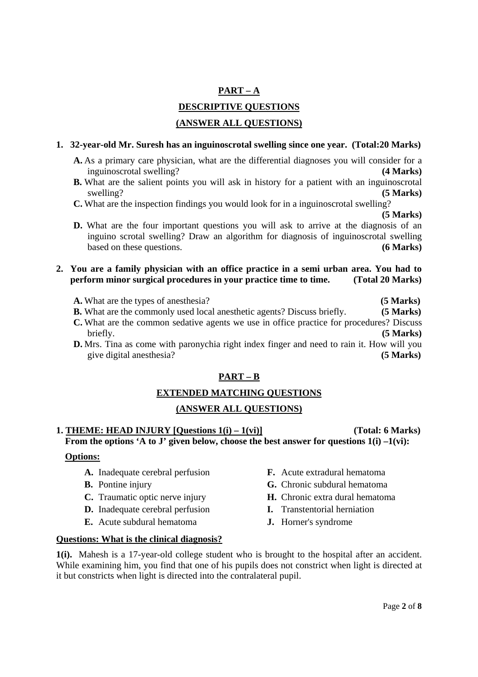# **PART – A DESCRIPTIVE QUESTIONS (ANSWER ALL QUESTIONS)**

# **1. 32-year-old Mr. Suresh has an inguinoscrotal swelling since one year. (Total:20 Marks)**

- **A.** As a primary care physician, what are the differential diagnoses you will consider for a inguinoscrotal swelling? **(4 Marks)**
- **B.** What are the salient points you will ask in history for a patient with an inguinoscrotal swelling? **(5 Marks)**
- **C.** What are the inspection findings you would look for in a inguinoscrotal swelling?

**(5 Marks)**

**D.** What are the four important questions you will ask to arrive at the diagnosis of an inguino scrotal swelling? Draw an algorithm for diagnosis of inguinoscrotal swelling based on these questions. **(6 Marks)** 

# **2. You are a family physician with an office practice in a semi urban area. You had to perform minor surgical procedures in your practice time to time. (Total 20 Marks)**

- **A.** What are the types of anesthesia? **(5 Marks)**
- **B.** What are the commonly used local anesthetic agents? Discuss briefly. **(5 Marks)**
- **C.** What are the common sedative agents we use in office practice for procedures? Discuss briefly. **(5 Marks)**
- **D.** Mrs. Tina as come with paronychia right index finger and need to rain it. How will you give digital anesthesia? **(5 Marks)**

# **PART – B**

# **EXTENDED MATCHING QUESTIONS**

# **(ANSWER ALL QUESTIONS)**

# **1. THEME: HEAD INJURY [Questions 1(i) – 1(vi)] (Total: 6 Marks) From the options 'A to J' given below, choose the best answer for questions 1(i) –1(vi):**

## **Options:**

- **A.** Inadequate cerebral perfusion
- **B.** Pontine injury
- **C.** Traumatic optic nerve injury
- **D.** Inadequate cerebral perfusion
- **E.** Acute subdural hematoma
- **F.** Acute extradural hematoma
- **G.** Chronic subdural hematoma
- **H.** Chronic extra dural hematoma
- **I.** Transtentorial herniation
- **J.** Horner's syndrome

## **Questions: What is the clinical diagnosis?**

**1(i).** Mahesh is a 17-year-old college student who is brought to the hospital after an accident. While examining him, you find that one of his pupils does not constrict when light is directed at it but constricts when light is directed into the contralateral pupil.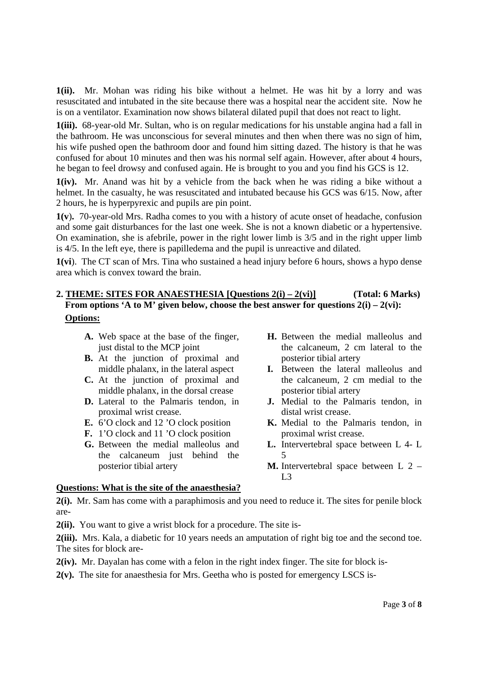**1(ii).** Mr. Mohan was riding his bike without a helmet. He was hit by a lorry and was resuscitated and intubated in the site because there was a hospital near the accident site. Now he is on a ventilator. Examination now shows bilateral dilated pupil that does not react to light.

**1(iii).** 68-year-old Mr. Sultan, who is on regular medications for his unstable angina had a fall in the bathroom. He was unconscious for several minutes and then when there was no sign of him, his wife pushed open the bathroom door and found him sitting dazed. The history is that he was confused for about 10 minutes and then was his normal self again. However, after about 4 hours, he began to feel drowsy and confused again. He is brought to you and you find his GCS is 12.

**1(iv).** Mr. Anand was hit by a vehicle from the back when he was riding a bike without a helmet. In the casualty, he was resuscitated and intubated because his GCS was 6/15. Now, after 2 hours, he is hyperpyrexic and pupils are pin point.

**1(v**)**.** 70-year-old Mrs. Radha comes to you with a history of acute onset of headache, confusion and some gait disturbances for the last one week. She is not a known diabetic or a hypertensive. On examination, she is afebrile, power in the right lower limb is 3/5 and in the right upper limb is 4/5. In the left eye, there is papilledema and the pupil is unreactive and dilated.

**1(vi**). The CT scan of Mrs. Tina who sustained a head injury before 6 hours, shows a hypo dense area which is convex toward the brain.

# **2. THEME: SITES FOR ANAESTHESIA [Questions 2(i) – 2(vi)] (Total: 6 Marks) From options 'A to M' given below, choose the best answer for questions 2(i) – 2(vi): Options:**

- **A.** Web space at the base of the finger, just distal to the MCP joint
- **B.** At the junction of proximal and middle phalanx, in the lateral aspect
- **C.** At the junction of proximal and middle phalanx, in the dorsal crease
- **D.** Lateral to the Palmaris tendon, in proximal wrist crease.
- **E.** 6'O clock and 12 'O clock position
- **F.** 1'O clock and 11 'O clock position
- **G.** Between the medial malleolus and the calcaneum just behind the posterior tibial artery
- **H.** Between the medial malleolus and the calcaneum, 2 cm lateral to the posterior tibial artery
- **I.** Between the lateral malleolus and the calcaneum, 2 cm medial to the posterior tibial artery
- **J.** Medial to the Palmaris tendon, in distal wrist crease.
- **K.** Medial to the Palmaris tendon, in proximal wrist crease.
- **L.** Intervertebral space between L 4- L 5
- **M.** Intervertebral space between L 2  $L<sub>3</sub>$

## **Questions: What is the site of the anaesthesia?**

**2(i).** Mr. Sam has come with a paraphimosis and you need to reduce it. The sites for penile block are-

**2(ii).** You want to give a wrist block for a procedure. The site is-

**2(iii).** Mrs. Kala, a diabetic for 10 years needs an amputation of right big toe and the second toe. The sites for block are-

**2(iv).** Mr. Dayalan has come with a felon in the right index finger. The site for block is-

**2(v).** The site for anaesthesia for Mrs. Geetha who is posted for emergency LSCS is-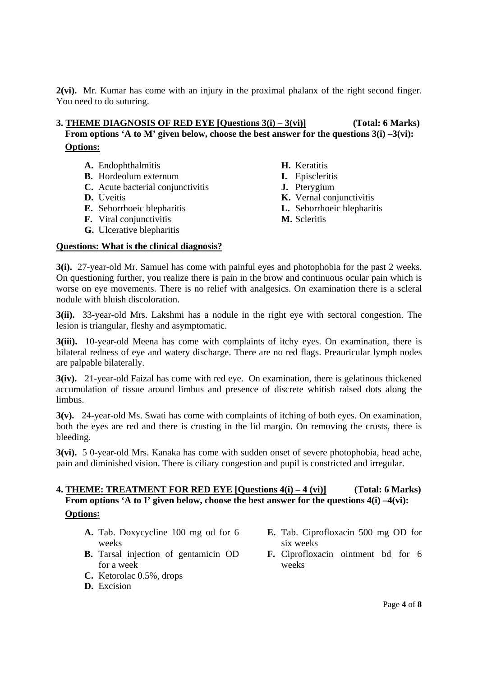**2(vi).** Mr. Kumar has come with an injury in the proximal phalanx of the right second finger. You need to do suturing.

# **3. THEME DIAGNOSIS OF RED EYE [Questions 3(i) – 3(vi)] (Total: 6 Marks) From options 'A to M' given below, choose the best answer for the questions 3(i) –3(vi): Options:**

|  | A. Endophthalmitis |  |
|--|--------------------|--|
|--|--------------------|--|

- **B.** Hordeolum externum
- **C.** Acute bacterial conjunctivitis
- **D.** Uveitis
- **E.** Seborrhoeic blepharitis
- **F.** Viral conjunctivitis
- **G.** Ulcerative blepharitis
- **H.** Keratitis **I.** Episcleritis
- **J.** Pterygium
- **K.** Vernal conjunctivitis
- **L.** Seborrhoeic blepharitis
- **M.** Scleritis

## **Questions: What is the clinical diagnosis?**

**3(i).** 27-year-old Mr. Samuel has come with painful eyes and photophobia for the past 2 weeks. On questioning further, you realize there is pain in the brow and continuous ocular pain which is worse on eye movements. There is no relief with analgesics. On examination there is a scleral nodule with bluish discoloration.

**3(ii).** 33-year-old Mrs. Lakshmi has a nodule in the right eye with sectoral congestion. The lesion is triangular, fleshy and asymptomatic.

**3(iii).** 10-year-old Meena has come with complaints of itchy eyes. On examination, there is bilateral redness of eye and watery discharge. There are no red flags. Preauricular lymph nodes are palpable bilaterally.

**3(iv).** 21-year-old Faizal has come with red eye. On examination, there is gelatinous thickened accumulation of tissue around limbus and presence of discrete whitish raised dots along the limbus.

**3(v).** 24-year-old Ms. Swati has come with complaints of itching of both eyes. On examination, both the eyes are red and there is crusting in the lid margin. On removing the crusts, there is bleeding.

**3(vi).** 5 0-year-old Mrs. Kanaka has come with sudden onset of severe photophobia, head ache, pain and diminished vision. There is ciliary congestion and pupil is constricted and irregular.

# **4. THEME: TREATMENT FOR RED EYE [Questions 4(i) – 4 (vi)] (Total: 6 Marks) From options 'A to I' given below, choose the best answer for the questions 4(i) –4(vi): Options:**

- **A.** Tab. Doxycycline 100 mg od for 6 weeks
- **B.** Tarsal injection of gentamicin OD for a week
- **C.** Ketorolac 0.5%, drops
- **D.** Excision
- **E.** Tab. Ciprofloxacin 500 mg OD for six weeks
- **F.** Ciprofloxacin ointment bd for 6 weeks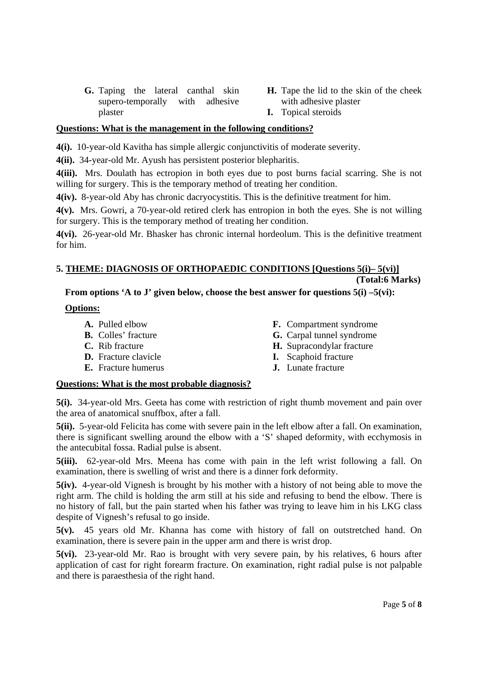- **G.** Taping the lateral canthal skin supero-temporally with adhesive plaster
- **H.** Tape the lid to the skin of the cheek with adhesive plaster
- **I.** Topical steroids

# **Questions: What is the management in the following conditions?**

**4(i).** 10-year-old Kavitha has simple allergic conjunctivitis of moderate severity.

**4(ii).** 34-year-old Mr. Ayush has persistent posterior blepharitis.

**4(iii).** Mrs. Doulath has ectropion in both eyes due to post burns facial scarring. She is not willing for surgery. This is the temporary method of treating her condition.

**4(iv).** 8-year-old Aby has chronic dacryocystitis. This is the definitive treatment for him.

**4(v).** Mrs. Gowri, a 70-year-old retired clerk has entropion in both the eyes. She is not willing for surgery. This is the temporary method of treating her condition.

**4(vi).** 26-year-old Mr. Bhasker has chronic internal hordeolum. This is the definitive treatment for him.

## **5. THEME: DIAGNOSIS OF ORTHOPAEDIC CONDITIONS [Questions 5(i)– 5(vi)] (Total:6 Marks)**

# **From options 'A to J' given below, choose the best answer for questions 5(i) –5(vi):**

# **Options:**

- **A.** Pulled elbow
- **B.** Colles' fracture
- **C.** Rib fracture
- **D.** Fracture clavicle
- **E.** Fracture humerus
- **F.** Compartment syndrome
- **G.** Carpal tunnel syndrome
- **H.** Supracondylar fracture
- **I.** Scaphoid fracture
- **J.** Lunate fracture

# **Questions: What is the most probable diagnosis?**

**5(i).** 34-year-old Mrs. Geeta has come with restriction of right thumb movement and pain over the area of anatomical snuffbox, after a fall.

**5(ii).** 5-year-old Felicita has come with severe pain in the left elbow after a fall. On examination, there is significant swelling around the elbow with a 'S' shaped deformity, with ecchymosis in the antecubital fossa. Radial pulse is absent.

**5(iii).** 62-year-old Mrs. Meena has come with pain in the left wrist following a fall. On examination, there is swelling of wrist and there is a dinner fork deformity.

**5(iv).** 4-year-old Vignesh is brought by his mother with a history of not being able to move the right arm. The child is holding the arm still at his side and refusing to bend the elbow. There is no history of fall, but the pain started when his father was trying to leave him in his LKG class despite of Vignesh's refusal to go inside.

**5(v).** 45 years old Mr. Khanna has come with history of fall on outstretched hand. On examination, there is severe pain in the upper arm and there is wrist drop.

**5(vi).** 23-year-old Mr. Rao is brought with very severe pain, by his relatives, 6 hours after application of cast for right forearm fracture. On examination, right radial pulse is not palpable and there is paraesthesia of the right hand.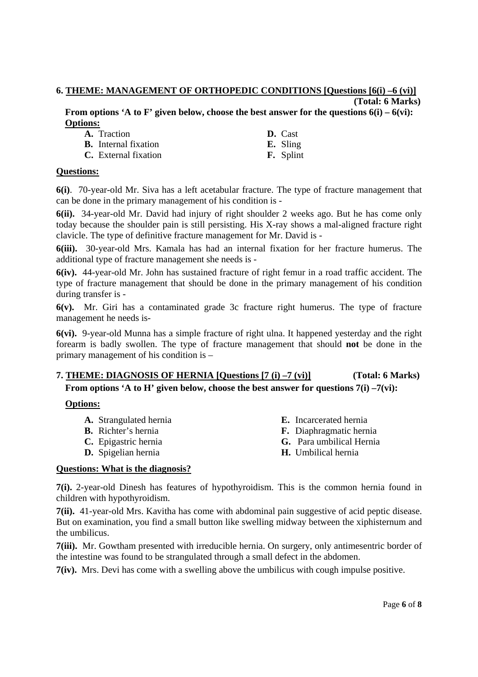#### **6. THEME: MANAGEMENT OF ORTHOPEDIC CONDITIONS [Questions [6(i) –6 (vi)] (Total: 6 Marks)**

**From options 'A to F' given below, choose the best answer for the questions 6(i) – 6(vi): Options:**

| A. Traction                 | D. Cast          |
|-----------------------------|------------------|
| <b>B.</b> Internal fixation | <b>E.</b> Sling  |
| C. External fixation        | <b>F.</b> Splint |

#### **Questions:**

**6(i)**. 70-year-old Mr. Siva has a left acetabular fracture. The type of fracture management that can be done in the primary management of his condition is -

**6(ii).** 34-year-old Mr. David had injury of right shoulder 2 weeks ago. But he has come only today because the shoulder pain is still persisting. His X-ray shows a mal-aligned fracture right clavicle. The type of definitive fracture management for Mr. David is -

**6(iii).** 30-year-old Mrs. Kamala has had an internal fixation for her fracture humerus. The additional type of fracture management she needs is -

**6(iv).** 44-year-old Mr. John has sustained fracture of right femur in a road traffic accident. The type of fracture management that should be done in the primary management of his condition during transfer is -

**6(v).** Mr. Giri has a contaminated grade 3c fracture right humerus. The type of fracture management he needs is-

**6(vi).** 9-year-old Munna has a simple fracture of right ulna. It happened yesterday and the right forearm is badly swollen. The type of fracture management that should **not** be done in the primary management of his condition is –

# **7. THEME: DIAGNOSIS OF HERNIA [Questions [7 (i) –7 (vi)] (Total: 6 Marks)** From options 'A to H' given below, choose the best answer for questions 7(i) –7(vi):

## **Options:**

- **A.** Strangulated hernia
- **B.** Richter's hernia
- **C.** Epigastric hernia
- **D.** Spigelian hernia
- **E.** Incarcerated hernia
- **F.** Diaphragmatic hernia
- **G.** Para umbilical Hernia
- **H.** Umbilical hernia

## **Questions: What is the diagnosis?**

**7(i).** 2-year-old Dinesh has features of hypothyroidism. This is the common hernia found in children with hypothyroidism.

**7(ii).** 41-year-old Mrs. Kavitha has come with abdominal pain suggestive of acid peptic disease. But on examination, you find a small button like swelling midway between the xiphisternum and the umbilicus.

**7(iii).** Mr. Gowtham presented with irreducible hernia. On surgery, only antimesentric border of the intestine was found to be strangulated through a small defect in the abdomen.

**7(iv).** Mrs. Devi has come with a swelling above the umbilicus with cough impulse positive.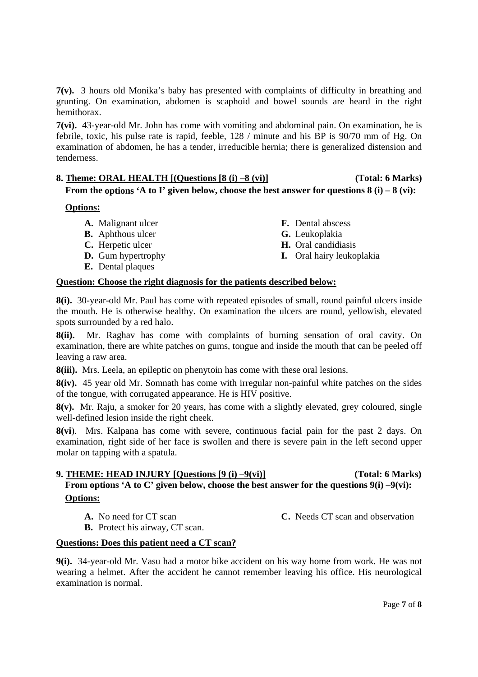**7(v).** 3 hours old Monika's baby has presented with complaints of difficulty in breathing and grunting. On examination, abdomen is scaphoid and bowel sounds are heard in the right hemithorax.

**7(vi).** 43-year-old Mr. John has come with vomiting and abdominal pain. On examination, he is febrile, toxic, his pulse rate is rapid, feeble, 128 / minute and his BP is 90/70 mm of Hg. On examination of abdomen, he has a tender, irreducible hernia; there is generalized distension and tenderness.

# **8. Theme: ORAL HEALTH [(Questions [8 (i) –8 (vi)] (Total: 6 Marks)**

**From the options 'A to I' given below, choose the best answer for questions 8 (i) – 8 (vi):**

## **Options:**

- **A.** Malignant ulcer
- **B.** Aphthous ulcer
- **C.** Herpetic ulcer
- **D.** Gum hypertrophy
- **E.** Dental plaques
- **F.** Dental abscess **G.** Leukoplakia
- **H.** Oral candidiasis
- **I.** Oral hairy leukoplakia

## **Question: Choose the right diagnosis for the patients described below:**

**8(i).** 30-year-old Mr. Paul has come with repeated episodes of small, round painful ulcers inside the mouth. He is otherwise healthy. On examination the ulcers are round, yellowish, elevated spots surrounded by a red halo.

**8(ii).** Mr. Raghav has come with complaints of burning sensation of oral cavity. On examination, there are white patches on gums, tongue and inside the mouth that can be peeled off leaving a raw area.

**8(iii).** Mrs. Leela, an epileptic on phenytoin has come with these oral lesions.

**8(iv).** 45 year old Mr. Somnath has come with irregular non-painful white patches on the sides of the tongue, with corrugated appearance. He is HIV positive.

**8(v).** Mr. Raju, a smoker for 20 years, has come with a slightly elevated, grey coloured, single well-defined lesion inside the right cheek.

**8(vi**). Mrs. Kalpana has come with severe, continuous facial pain for the past 2 days. On examination, right side of her face is swollen and there is severe pain in the left second upper molar on tapping with a spatula.

# **9. THEME: HEAD INJURY [Questions [9 (i) –9(vi)] (Total: 6 Marks) From options 'A to C' given below, choose the best answer for the questions 9(i) –9(vi): Options:**

**A.** No need for CT scan

**C.** Needs CT scan and observation

**B.** Protect his airway, CT scan.

## **Questions: Does this patient need a CT scan?**

**9(i).** 34-year-old Mr. Vasu had a motor bike accident on his way home from work. He was not wearing a helmet. After the accident he cannot remember leaving his office. His neurological examination is normal.